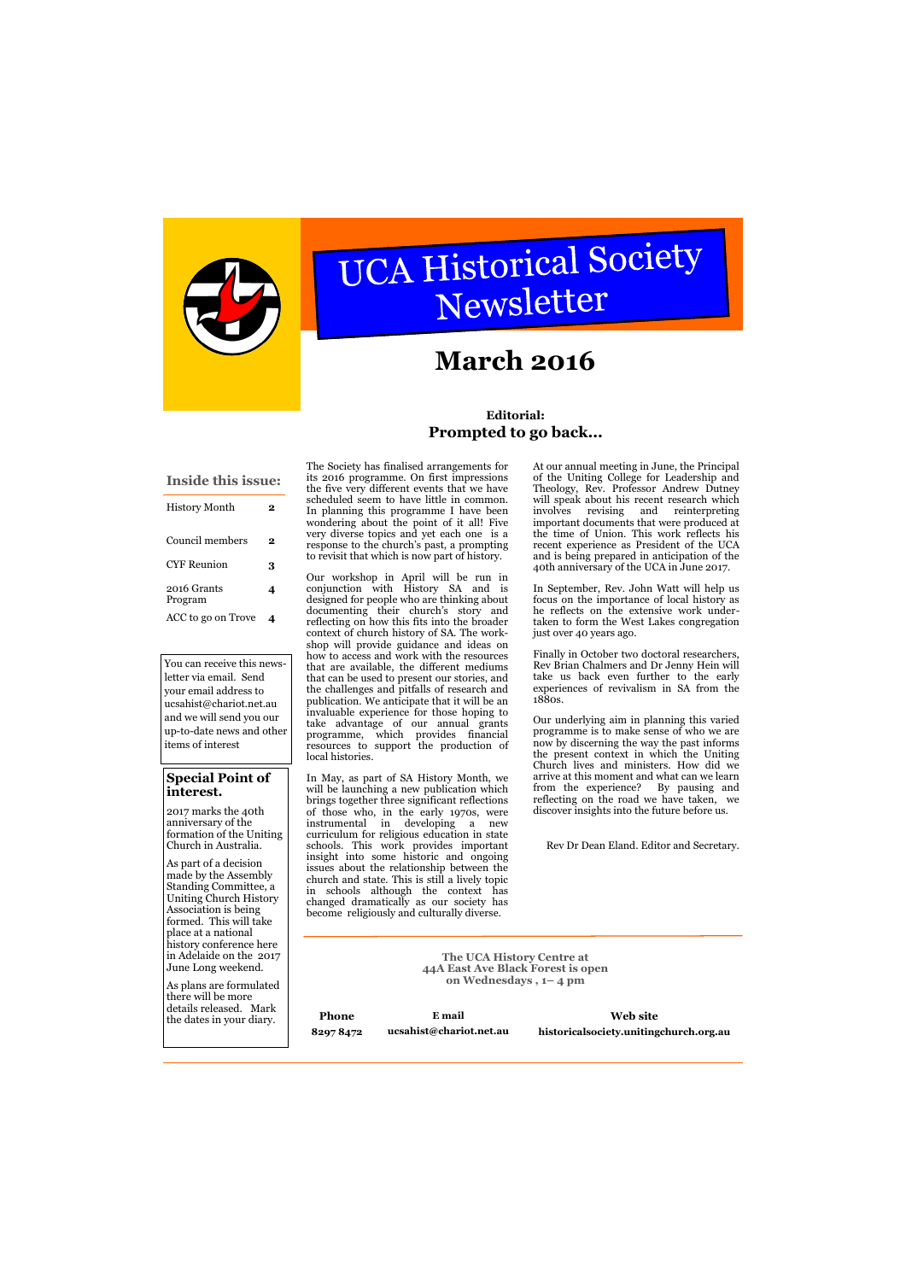

# UCA Historical Society Newsletter

# **Special Point of interest.**

2017 marks the 40th anniversary of the formation of the Uniting Church in Australia.

As part of a decision made by the Assembly Standing Committee, a Uniting Church History Association is being formed. This will take place at a national history conference here in Adelaide on the 2017

**The UCA History Centre at** 

|  | June Long weekend.<br>As plans are formulated<br>there will be more<br>details released. Mark<br>the dates in your diary. | 44A East Ave Black Forest is open<br>on Wednesdays, 1-4 pm |                                   |                                                    |
|--|---------------------------------------------------------------------------------------------------------------------------|------------------------------------------------------------|-----------------------------------|----------------------------------------------------|
|  |                                                                                                                           | Phone<br>82978472                                          | E mail<br>ucsahist@chariot.net.au | Web site<br>historicalsociety.unitingchurch.org.au |

| <b>Inside this issue:</b> |   |  |  |  |
|---------------------------|---|--|--|--|
| <b>History Month</b>      | 2 |  |  |  |
| Council members           | 2 |  |  |  |
| CYF Reunion               | 3 |  |  |  |
| 2016 Grants<br>Program    | 4 |  |  |  |
| ACC to go on Trove        |   |  |  |  |

# **March 2016**

The Society has finalised arrangements for its 2016 programme. On first impressions the five very different events that we have scheduled seem to have little in common. In planning this programme I have been wondering about the point of it all! Five very diverse topics and yet each one is a response to the church's past, a prompting to revisit that which is now part of history.

Our workshop in April will be run in conjunction with History SA and is designed for people who are thinking about documenting their church's story and reflecting on how this fits into the broader context of church history of SA. The workshop will provide guidance and ideas on how to access and work with the resources that are available, the different mediums that can be used to present our stories, and the challenges and pitfalls of research and publication. We anticipate that it will be an invaluable experience for those hoping to take advantage of our annual grants programme, which provides financial resources to support the production of local histories.

In May, as part of SA History Month, we will be launching a new publication which brings together three significant reflections of those who, in the early 1970s, were instrumental in developing a new curriculum for religious education in state schools. This work provides important insight into some historic and ongoing issues about the relationship between the church and state. This is still a lively topic in schools although the context has changed dramatically as our society has become religiously and culturally diverse.

At our annual meeting in June, the Principal of the Uniting College for Leadership and Theology, Rev. Professor Andrew Dutney will speak about his recent research which involves revising and reinterpreting important documents that were produced at the time of Union. This work reflects his recent experience as President of the UCA and is being prepared in anticipation of the 40th anniversary of the UCA in June 2017.

In September, Rev. John Watt will help us focus on the importance of local history as he reflects on the extensive work undertaken to form the West Lakes congregation just over 40 years ago.

Finally in October two doctoral researchers, Rev Brian Chalmers and Dr Jenny Hein will take us back even further to the early experiences of revivalism in SA from the 1880s.

Our underlying aim in planning this varied programme is to make sense of who we are now by discerning the way the past informs the present context in which the Uniting Church lives and ministers. How did we arrive at this moment and what can we learn from the experience? By pausing and reflecting on the road we have taken, we discover insights into the future before us.

Rev Dr Dean Eland. Editor and Secretary.

# **Editorial: Prompted to go back...**

You can receive this newsletter via email. Send your email address to ucsahist@chariot.net.au and we will send you our up-to-date news and other items of interest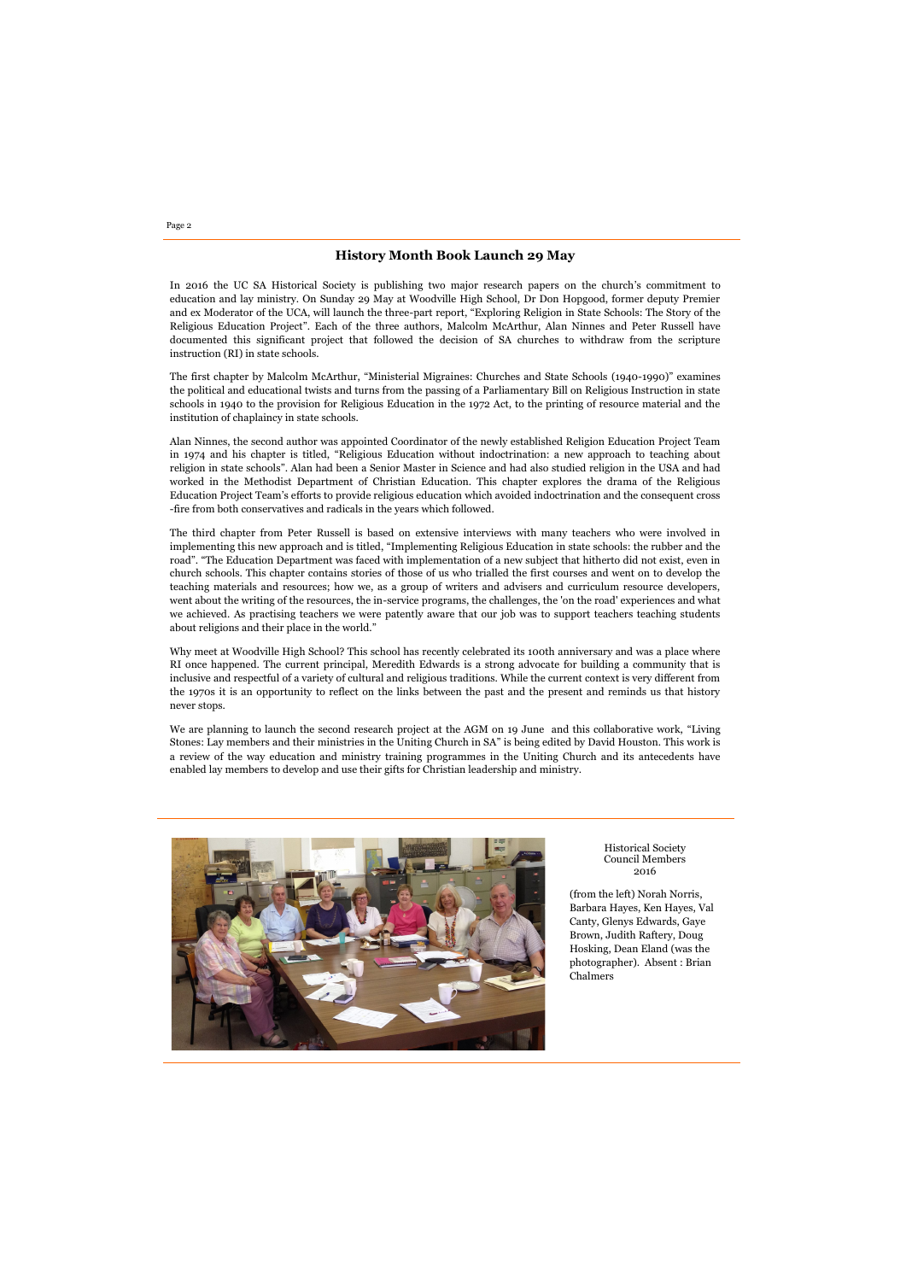Page 2

### **History Month Book Launch 29 May**

In 2016 the UC SA Historical Society is publishing two major research papers on the church's commitment to education and lay ministry. On Sunday 29 May at Woodville High School, Dr Don Hopgood, former deputy Premier and ex Moderator of the UCA, will launch the three-part report, "Exploring Religion in State Schools: The Story of the Religious Education Project". Each of the three authors, Malcolm McArthur, Alan Ninnes and Peter Russell have documented this significant project that followed the decision of SA churches to withdraw from the scripture instruction (RI) in state schools.

The first chapter by Malcolm McArthur, "Ministerial Migraines: Churches and State Schools (1940-1990)" examines the political and educational twists and turns from the passing of a Parliamentary Bill on Religious Instruction in state schools in 1940 to the provision for Religious Education in the 1972 Act, to the printing of resource material and the institution of chaplaincy in state schools.

Alan Ninnes, the second author was appointed Coordinator of the newly established Religion Education Project Team in 1974 and his chapter is titled, "Religious Education without indoctrination: a new approach to teaching about religion in state schools". Alan had been a Senior Master in Science and had also studied religion in the USA and had worked in the Methodist Department of Christian Education. This chapter explores the drama of the Religious Education Project Team's efforts to provide religious education which avoided indoctrination and the consequent cross -fire from both conservatives and radicals in the years which followed.

Why meet at Woodville High School? This school has recently celebrated its 100th anniversary and was a place where RI once happened. The current principal, Meredith Edwards is a strong advocate for building a community that is inclusive and respectful of a variety of cultural and religious traditions. While the current context is very different from the 1970s it is an opportunity to reflect on the links between the past and the present and reminds us that history never stops.

The third chapter from Peter Russell is based on extensive interviews with many teachers who were involved in implementing this new approach and is titled, "Implementing Religious Education in state schools: the rubber and the road". "The Education Department was faced with implementation of a new subject that hitherto did not exist, even in church schools. This chapter contains stories of those of us who trialled the first courses and went on to develop the teaching materials and resources; how we, as a group of writers and advisers and curriculum resource developers, went about the writing of the resources, the in-service programs, the challenges, the 'on the road' experiences and what we achieved. As practising teachers we were patently aware that our job was to support teachers teaching students about religions and their place in the world."

We are planning to launch the second research project at the AGM on 19 June and this collaborative work, "Living Stones: Lay members and their ministries in the Uniting Church in SA" is being edited by David Houston. This work is a review of the way education and ministry training programmes in the Uniting Church and its antecedents have enabled lay members to develop and use their gifts for Christian leadership and ministry.



Historical Society Council Members 2016

(from the left) Norah Norris, Barbara Hayes, Ken Hayes, Val Canty, Glenys Edwards, Gaye Brown, Judith Raftery, Doug Hosking, Dean Eland (was the photographer). Absent : Brian

Chalmers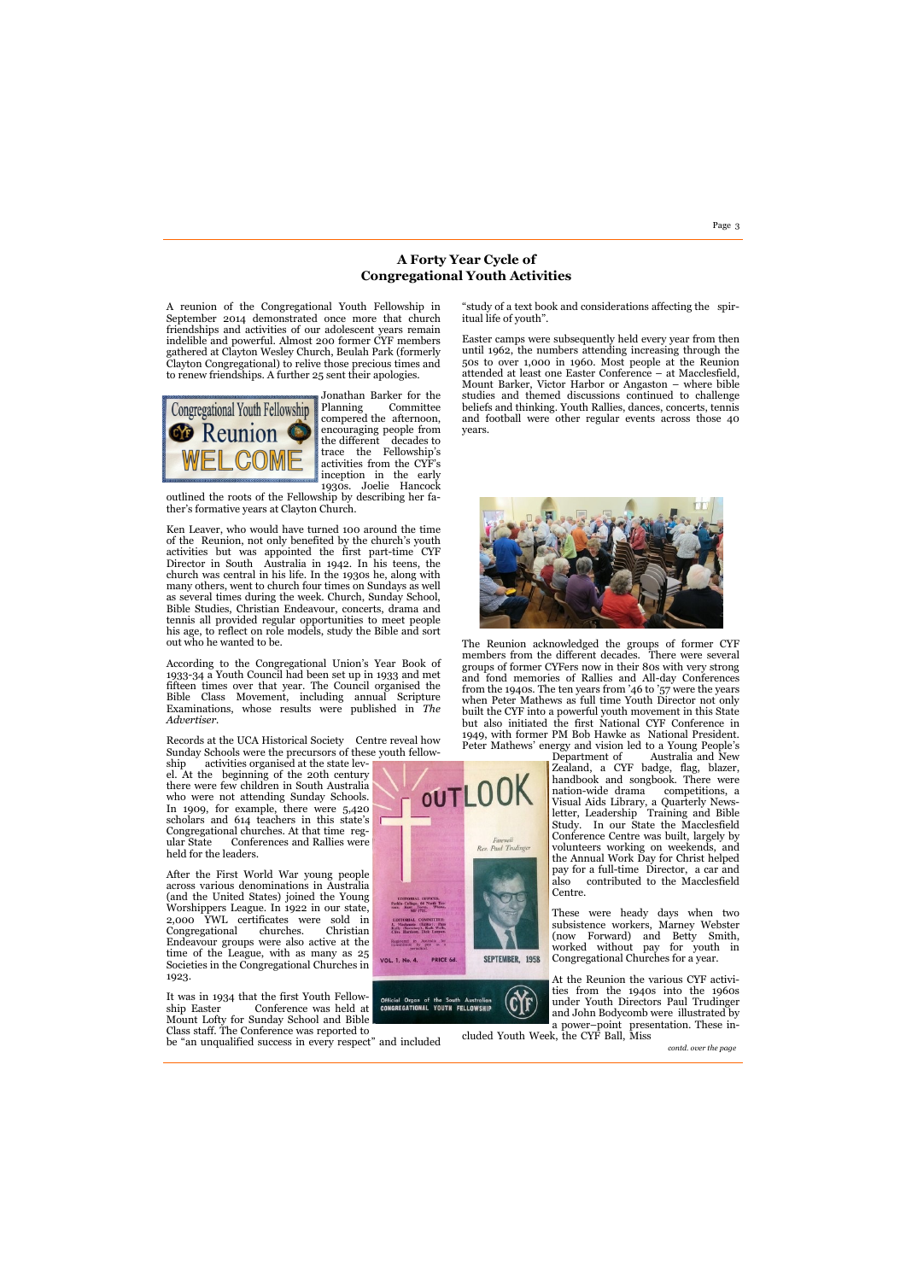Page 3

A reunion of the Congregational Youth Fellowship in September 2014 demonstrated once more that church friendships and activities of our adolescent years remain indelible and powerful. Almost 200 former CYF members gathered at Clayton Wesley Church, Beulah Park (formerly Clayton Congregational) to relive those precious times and to renew friendships. A further 25 sent their apologies.



Jonathan Barker for the Committee compered the afternoon, encouraging people from the different decades to trace the Fellowship's activities from the CYF's inception in the early 1930s. Joelie Hancock

outlined the roots of the Fellowship by describing her father's formative years at Clayton Church.

Ken Leaver, who would have turned 100 around the time of the Reunion, not only benefited by the church's youth activities but was appointed the first part-time CYF Director in South Australia in 1942. In his teens, the church was central in his life. In the 1930s he, along with many others, went to church four times on Sundays as well as several times during the week. Church, Sunday School, Bible Studies, Christian Endeavour, concerts, drama and tennis all provided regular opportunities to meet people his age, to reflect on role models, study the Bible and sort out who he wanted to be.

According to the Congregational Union's Year Book of 1933-34 a Youth Council had been set up in 1933 and met fifteen times over that year. The Council organised the Bible Class Movement, including annual Scripture Examinations, whose results were published in *The Advertiser.* 

The Reunion acknowledged the groups of former CYF members from the different decades. There were several groups of former CYFers now in their 80s with very strong and fond memories of Rallies and All-day Conferences from the 1940s. The ten years from '46 to '57 were the years when Peter Mathews as full time Youth Director not only built the CYF into a powerful youth movement in this State but also initiated the first National CYF Conference in 1949, with former PM Bob Hawke as National President. Peter Mathews' energy and vision led to a Young People's

Records at the UCA Historical Society Centre reveal how Sunday Schools were the precursors of these youth fellow-

ship activities organised at the state level. At the beginning of the 20th century there were few children in South Australia who were not attending Sunday Schools. In 1909, for example, there were 5,420 scholars and 614 teachers in this state's Congregational churches. At that time regular State Conferences and Rallies were held for the leaders.

After the First World War young people across various denominations in Australia (and the United States) joined the Young Worshippers League. In 1922 in our state, 2,000 YWL certificates were sold in Congregational churches. Christian Endeavour groups were also active at the time of the League, with as many as 25 Societies in the Congregational Churches in



1923.

It was in 1934 that the first Youth Fellowship Easter Conference was held at Mount Lofty for Sunday School and Bible Class staff. The Conference was reported to

be "an unqualified success in every respect" and included



"study of a text book and considerations affecting the spiritual life of youth".

Easter camps were subsequently held every year from then until 1962, the numbers attending increasing through the 50s to over 1,000 in 1960. Most people at the Reunion attended at least one Easter Conference – at Macclesfield, Mount Barker, Victor Harbor or Angaston – where bible studies and themed discussions continued to challenge beliefs and thinking. Youth Rallies, dances, concerts, tennis and football were other regular events across those 40 years.



Department of Australia and New Zealand, a CYF badge, flag, blazer, handbook and songbook. There were nation-wide drama competitions, a Visual Aids Library, a Quarterly Newsletter, Leadership Training and Bible Study. In our State the Macclesfield Conference Centre was built, largely by volunteers working on weekends, and the Annual Work Day for Christ helped pay for a full-time Director, a car and also contributed to the Macclesfield Centre.

These were heady days when two subsistence workers, Marney Webster (now Forward) and Betty Smith, worked without pay for youth in Congregational Churches for a year.

At the Reunion the various CYF activities from the 1940s into the 1960s under Youth Directors Paul Trudinger and John Bodycomb were illustrated by a power–point presentation. These in-

cluded Youth Week, the CYF Ball, Miss

# **A Forty Year Cycle of Congregational Youth Activities**

*contd. over the page*